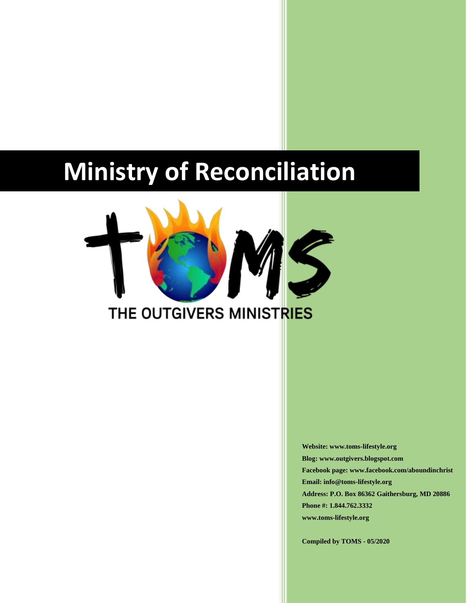# **Ministry of Reconciliation**



**Website: www.toms-lifestyle.org Blog: www.outgivers.blogspot.com Facebook page: www.facebook.com/aboundinchrist Email: info@toms-lifestyle.org Address: P.O. Box 86362 Gaithersburg, MD 20886 Phone #: 1.844.762.3332 www.toms-lifestyle.org**

**Compiled by TOMS - 05/2020**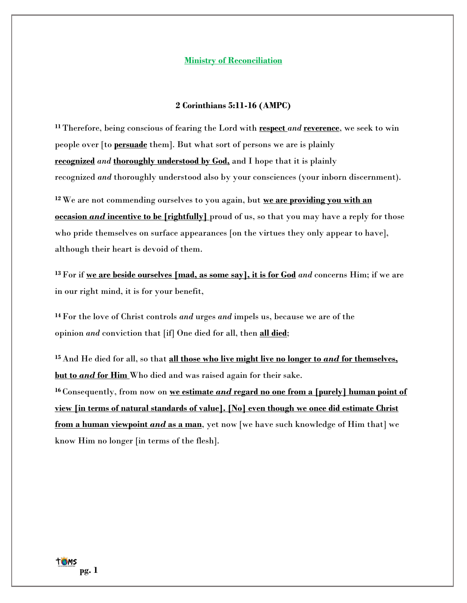### **Ministry of Reconciliation**

## **2 Corinthians 5:11-16 (AMPC)**

**<sup>11</sup>** Therefore, being conscious of fearing the Lord with **respect** *and* **reverence**, we seek to win people over [to **persuade** them]. But what sort of persons we are is plainly **recognized** *and* **thoroughly understood by God,** and I hope that it is plainly recognized *and* thoroughly understood also by your consciences (your inborn discernment).

**<sup>12</sup>** We are not commending ourselves to you again, but **we are providing you with an occasion** *and* **incentive to be [rightfully]** proud of us, so that you may have a reply for those who pride themselves on surface appearances [on the virtues they only appear to have], although their heart is devoid of them.

**<sup>13</sup>** For if **we are beside ourselves [mad, as some say], it is for God** *and* concerns Him; if we are in our right mind, it is for your benefit,

**<sup>14</sup>** For the love of Christ controls *and* urges *and* impels us, because we are of the opinion *and* conviction that [if] One died for all, then **all died**;

**<sup>15</sup>** And He died for all, so that **all those who live might live no longer to** *and* **for themselves, but to** *and* **for Him** Who died and was raised again for their sake.

**<sup>16</sup>** Consequently, from now on **we estimate** *and* **regard no one from a [purely] human point of view [in terms of natural standards of value]. [No] even though we once did estimate Christ from a human viewpoint** *and* **as a man**, yet now [we have such knowledge of Him that] we know Him no longer [in terms of the flesh].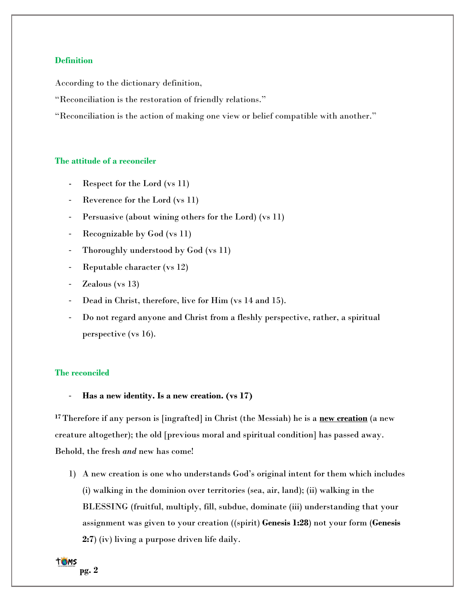## **Definition**

According to the dictionary definition,

"Reconciliation is the restoration of friendly relations."

"Reconciliation is the action of making one view or belief compatible with another."

## **The attitude of a reconciler**

- Respect for the Lord (vs 11)
- Reverence for the Lord (vs 11)
- Persuasive (about wining others for the Lord) (vs 11)
- Recognizable by God (vs 11)
- Thoroughly understood by God (vs 11)
- Reputable character (vs 12)
- Zealous ( $vs$  13)
- Dead in Christ, therefore, live for Him (vs 14 and 15).
- Do not regard anyone and Christ from a fleshly perspective, rather, a spiritual perspective (vs 16).

# **The reconciled**

- **Has a new identity. Is a new creation. (vs 17)**

**<sup>17</sup>** Therefore if any person is [ingrafted] in Christ (the Messiah) he is a **new creation** (a new creature altogether); the old [previous moral and spiritual condition] has passed away. Behold, the fresh *and* new has come!

1) A new creation is one who understands God's original intent for them which includes (i) walking in the dominion over territories (sea, air, land); (ii) walking in the BLESSING (fruitful, multiply, fill, subdue, dominate (iii) understanding that your assignment was given to your creation ((spirit) **Genesis 1:28**) not your form (**Genesis 2:7**) (iv) living a purpose driven life daily.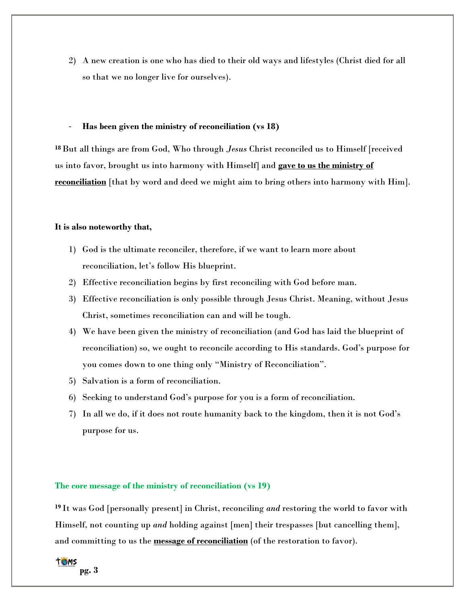2) A new creation is one who has died to their old ways and lifestyles (Christ died for all so that we no longer live for ourselves).

#### - **Has been given the ministry of reconciliation (vs 18)**

**<sup>18</sup>**But all things are from God, Who through *Jesus* Christ reconciled us to Himself [received us into favor, brought us into harmony with Himself] and **gave to us the ministry of reconciliation** [that by word and deed we might aim to bring others into harmony with Him].

#### **It is also noteworthy that,**

- 1) God is the ultimate reconciler, therefore, if we want to learn more about reconciliation, let's follow His blueprint.
- 2) Effective reconciliation begins by first reconciling with God before man.
- 3) Effective reconciliation is only possible through Jesus Christ. Meaning, without Jesus Christ, sometimes reconciliation can and will be tough.
- 4) We have been given the ministry of reconciliation (and God has laid the blueprint of reconciliation) so, we ought to reconcile according to His standards. God's purpose for you comes down to one thing only "Ministry of Reconciliation".
- 5) Salvation is a form of reconciliation.
- 6) Seeking to understand God's purpose for you is a form of reconciliation.
- 7) In all we do, if it does not route humanity back to the kingdom, then it is not God's purpose for us.

# **The core message of the ministry of reconciliation (vs 19)**

**<sup>19</sup>** It was God [personally present] in Christ, reconciling *and* restoring the world to favor with Himself, not counting up *and* holding against [men] their trespasses [but cancelling them], and committing to us the **message of reconciliation** (of the restoration to favor).